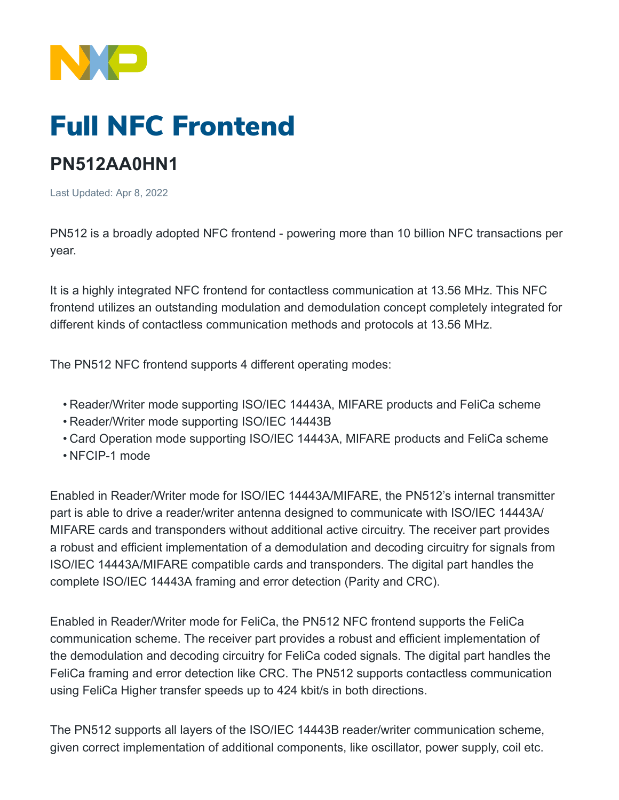

## Full NFC Frontend

## **PN512AA0HN1**

Last Updated: Apr 8, 2022

PN512 is a broadly adopted NFC frontend - powering more than 10 billion NFC transactions per year.

It is a highly integrated NFC frontend for contactless communication at 13.56 MHz. This NFC frontend utilizes an outstanding modulation and demodulation concept completely integrated for different kinds of contactless communication methods and protocols at 13.56 MHz.

The PN512 NFC frontend supports 4 different operating modes:

- Reader/Writer mode supporting ISO/IEC 14443A, MIFARE products and FeliCa scheme
- Reader/Writer mode supporting ISO/IEC 14443B
- Card Operation mode supporting ISO/IEC 14443A, MIFARE products and FeliCa scheme
- NFCIP-1 mode

Enabled in Reader/Writer mode for ISO/IEC 14443A/MIFARE, the PN512's internal transmitter part is able to drive a reader/writer antenna designed to communicate with ISO/IEC 14443A/ MIFARE cards and transponders without additional active circuitry. The receiver part provides a robust and efficient implementation of a demodulation and decoding circuitry for signals from ISO/IEC 14443A/MIFARE compatible cards and transponders. The digital part handles the complete ISO/IEC 14443A framing and error detection (Parity and CRC).

Enabled in Reader/Writer mode for FeliCa, the PN512 NFC frontend supports the FeliCa communication scheme. The receiver part provides a robust and efficient implementation of the demodulation and decoding circuitry for FeliCa coded signals. The digital part handles the FeliCa framing and error detection like CRC. The PN512 supports contactless communication using FeliCa Higher transfer speeds up to 424 kbit/s in both directions.

The PN512 supports all layers of the ISO/IEC 14443B reader/writer communication scheme, given correct implementation of additional components, like oscillator, power supply, coil etc.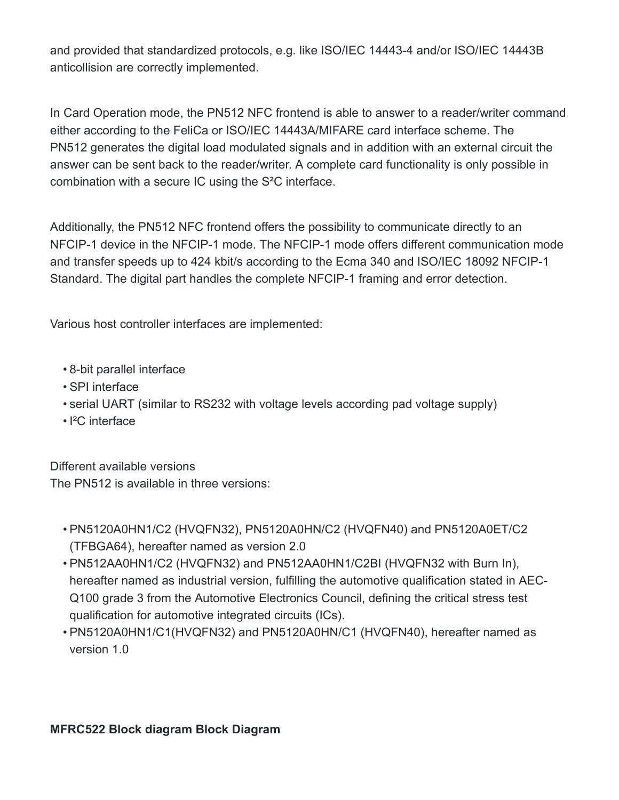and provided that standardized protocols, e.g. like ISO/IEC 14443-4 and/or ISO/IEC 14443B anticollision are correctly implemented.

In Card Operation mode, the PN512 NFC frontend is able to answer to a reader/writer command either according to the FeliCa or ISO/IEC 14443A/MIFARE card interface scheme. The PN512 generates the digital load modulated signals and in addition with an external circuit the answer can be sent back to the reader/writer. A complete card functionality is only possible in combination with a secure IC using the S²C interface.

Additionally, the PN512 NFC frontend offers the possibility to communicate directly to an NFCIP-1 device in the NFCIP-1 mode. The NFCIP-1 mode offers different communication mode and transfer speeds up to 424 kbit/s according to the Ecma 340 and ISO/IEC 18092 NFCIP-1 Standard. The digital part handles the complete NFCIP-1 framing and error detection.

Various host controller interfaces are implemented:

- 8-bit parallel interface
- SPI interface
- serial UART (similar to RS232 with voltage levels according pad voltage supply)
- I²C interface

Different available versions

The PN512 is available in three versions:

- PN5120A0HN1/C2 (HVQFN32), PN5120A0HN/C2 (HVQFN40) and PN5120A0ET/C2 (TFBGA64), hereafter named as version 2.0
- PN512AA0HN1/C2 (HVQFN32) and PN512AA0HN1/C2BI (HVQFN32 with Burn In), hereafter named as industrial version, fulfilling the automotive qualification stated in AEC-Q100 grade 3 from the Automotive Electronics Council, defining the critical stress test qualification for automotive integrated circuits (ICs).
- PN5120A0HN1/C1(HVQFN32) and PN5120A0HN/C1 (HVQFN40), hereafter named as version 1.0